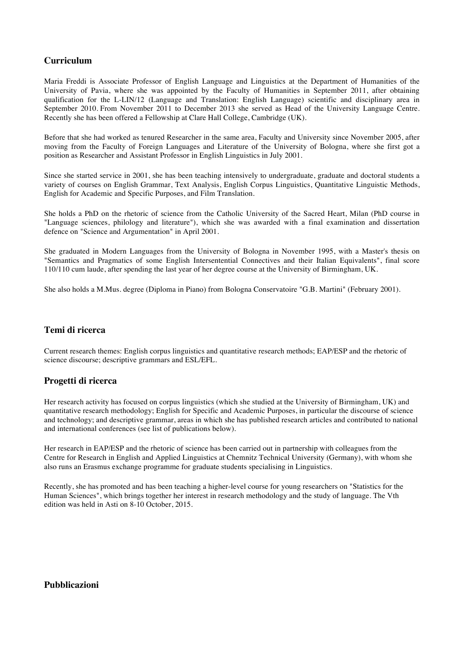## **Curriculum**

Maria Freddi is Associate Professor of English Language and Linguistics at the Department of Humanities of the University of Pavia, where she was appointed by the Faculty of Humanities in September 2011, after obtaining qualification for the L-LIN/12 (Language and Translation: English Language) scientific and disciplinary area in September 2010. From November 2011 to December 2013 she served as Head of the University Language Centre. Recently she has been offered a Fellowship at Clare Hall College, Cambridge (UK).

Before that she had worked as tenured Researcher in the same area, Faculty and University since November 2005, after moving from the Faculty of Foreign Languages and Literature of the University of Bologna, where she first got a position as Researcher and Assistant Professor in English Linguistics in July 2001.

Since she started service in 2001, she has been teaching intensively to undergraduate, graduate and doctoral students a variety of courses on English Grammar, Text Analysis, English Corpus Linguistics, Quantitative Linguistic Methods, English for Academic and Specific Purposes, and Film Translation.

She holds a PhD on the rhetoric of science from the Catholic University of the Sacred Heart, Milan (PhD course in "Language sciences, philology and literature"), which she was awarded with a final examination and dissertation defence on "Science and Argumentation" in April 2001.

She graduated in Modern Languages from the University of Bologna in November 1995, with a Master's thesis on "Semantics and Pragmatics of some English Intersentential Connectives and their Italian Equivalents", final score 110/110 cum laude, after spending the last year of her degree course at the University of Birmingham, UK.

She also holds a M.Mus. degree (Diploma in Piano) from Bologna Conservatoire "G.B. Martini" (February 2001).

## **Temi di ricerca**

Current research themes: English corpus linguistics and quantitative research methods; EAP/ESP and the rhetoric of science discourse; descriptive grammars and ESL/EFL.

## **Progetti di ricerca**

Her research activity has focused on corpus linguistics (which she studied at the University of Birmingham, UK) and quantitative research methodology; English for Specific and Academic Purposes, in particular the discourse of science and technology; and descriptive grammar, areas in which she has published research articles and contributed to national and international conferences (see list of publications below).

Her research in EAP/ESP and the rhetoric of science has been carried out in partnership with colleagues from the Centre for Research in English and Applied Linguistics at Chemnitz Technical University (Germany), with whom she also runs an Erasmus exchange programme for graduate students specialising in Linguistics.

Recently, she has promoted and has been teaching a higher-level course for young researchers on "Statistics for the Human Sciences", which brings together her interest in research methodology and the study of language. The Vth edition was held in Asti on 8-10 October, 2015.

## **Pubblicazioni**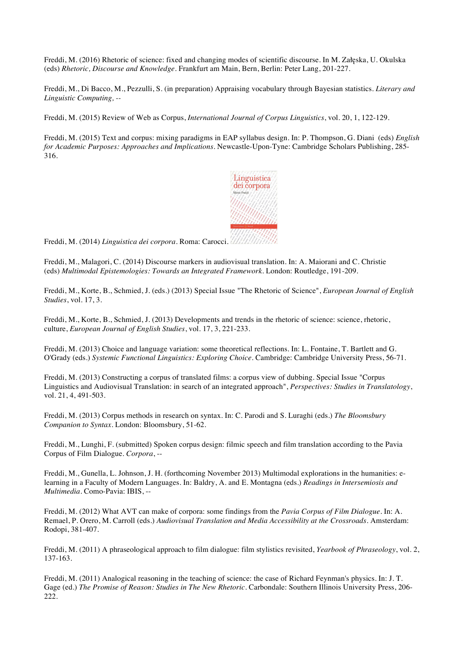Freddi, M. (2016) Rhetoric of science: fixed and changing modes of scientific discourse. In M. Załęska, U. Okulska (eds) *Rhetoric, Discourse and Knowledge.* Frankfurt am Main, Bern, Berlin: Peter Lang, 201-227.

Freddi, M., Di Bacco, M., Pezzulli, S. (in preparation) Appraising vocabulary through Bayesian statistics. *Literary and Linguistic Computing, --*

Freddi, M. (2015) Review of Web as Corpus, *International Journal of Corpus Linguistics*, vol. 20, 1, 122-129.

Freddi, M. (2015) Text and corpus: mixing paradigms in EAP syllabus design. In: P. Thompson, G. Diani (eds) *English for Academic Purposes: Approaches and Implications*. Newcastle-Upon-Tyne: Cambridge Scholars Publishing, 285- 316.



Freddi, M. (2014) *Linguistica dei corpora*. Roma: Carocci.

Freddi, M., Malagori, C. (2014) Discourse markers in audiovisual translation. In: A. Maiorani and C. Christie (eds) *Multimodal Epistemologies: Towards an Integrated Framework.* London: Routledge, 191-209.

Freddi, M., Korte, B., Schmied, J. (eds.) (2013) Special Issue "The Rhetoric of Science", *European Journal of English Studies*, vol. 17, 3.

Freddi, M., Korte, B., Schmied, J. (2013) Developments and trends in the rhetoric of science: science, rhetoric, culture, *European Journal of English Studies*, vol. 17, 3, 221-233.

Freddi, M. (2013) Choice and language variation: some theoretical reflections. In: L. Fontaine, T. Bartlett and G. O'Grady (eds.) *Systemic Functional Linguistics: Exploring Choice*. Cambridge: Cambridge University Press, 56-71.

Freddi, M. (2013) Constructing a corpus of translated films: a corpus view of dubbing. Special Issue "Corpus Linguistics and Audiovisual Translation: in search of an integrated approach", *Perspectives: Studies in Translatology*, vol. 21, 4, 491-503.

Freddi, M. (2013) Corpus methods in research on syntax. In: C. Parodi and S. Luraghi (eds.) *The Bloomsbury Companion to Syntax*. London: Bloomsbury, 51-62.

Freddi, M., Lunghi, F. (submitted) Spoken corpus design: filmic speech and film translation according to the Pavia Corpus of Film Dialogue. *Corpora*, --

Freddi, M., Gunella, L. Johnson, J. H. (forthcoming November 2013) Multimodal explorations in the humanities: elearning in a Faculty of Modern Languages. In: Baldry, A. and E. Montagna (eds.) *Readings in Intersemiosis and Multimedia.* Como-Pavia: IBIS, --

Freddi, M. (2012) What AVT can make of corpora: some findings from the *Pavia Corpus of Film Dialogue*. In: A. Remael, P. Orero, M. Carroll (eds.) *Audiovisual Translation and Media Accessibility at the Crossroads*. Amsterdam: Rodopi, 381-407.

Freddi, M. (2011) A phraseological approach to film dialogue: film stylistics revisited, *Yearbook of Phraseology*, vol. 2, 137-163.

Freddi, M. (2011) Analogical reasoning in the teaching of science: the case of Richard Feynman's physics. In: J. T. Gage (ed.) *The Promise of Reason: Studies in The New Rhetoric*. Carbondale: Southern Illinois University Press, 206- 222.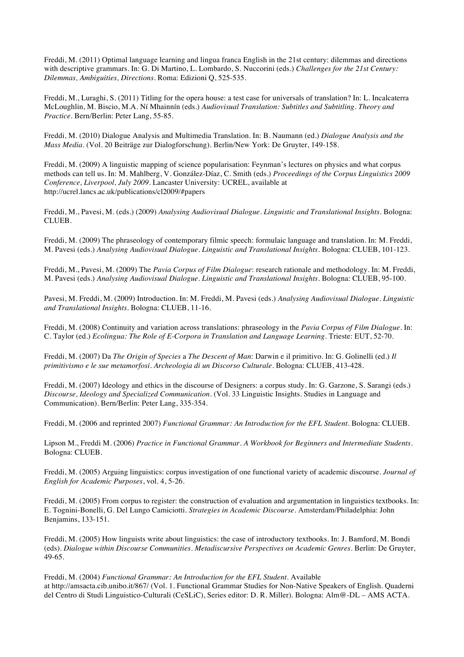Freddi, M. (2011) Optimal language learning and lingua franca English in the 21st century: dilemmas and directions with descriptive grammars. In: G. Di Martino, L. Lombardo, S. Nuccorini (eds.) *Challenges for the 21st Century*: *Dilemmas, Ambiguities, Directions*. Roma: Edizioni Q, 525-535.

Freddi, M., Luraghi, S. (2011) Titling for the opera house: a test case for universals of translation? In: L. Incalcaterra McLoughlin, M. Biscio, M.A. Ní Mhainnín (eds.) *Audiovisual Translation: Subtitles and Subtitling. Theory and Practice*. Bern/Berlin: Peter Lang, 55-85.

Freddi, M. (2010) Dialogue Analysis and Multimedia Translation. In: B. Naumann (ed.) *Dialogue Analysis and the Mass Media*. (Vol. 20 Beiträge zur Dialogforschung)*.* Berlin/New York: De Gruyter, 149-158.

Freddi, M. (2009) A linguistic mapping of science popularisation: Feynman's lectures on physics and what corpus methods can tell us. In: M. Mahlberg, V. González-Díaz, C. Smith (eds.) *Proceedings of the Corpus Linguistics 2009 Conference, Liverpool, July 2009*. Lancaster University: UCREL, available at http://ucrel.lancs.ac.uk/publications/cl2009/#papers

Freddi, M., Pavesi, M. (eds.) (2009) *Analysing Audiovisual Dialogue. Linguistic and Translational Insights*. Bologna: CLUEB.

Freddi, M. (2009) The phraseology of contemporary filmic speech: formulaic language and translation. In: M. Freddi, M. Pavesi (eds.) *Analysing Audiovisual Dialogue. Linguistic and Translational Insights*. Bologna: CLUEB, 101-123.

Freddi, M., Pavesi, M. (2009) The *Pavia Corpus of Film Dialogue*: research rationale and methodology. In: M. Freddi, M. Pavesi (eds.) *Analysing Audiovisual Dialogue. Linguistic and Translational Insights*. Bologna: CLUEB, 95-100.

Pavesi, M. Freddi, M. (2009) Introduction. In: M. Freddi, M. Pavesi (eds.) *Analysing Audiovisual Dialogue. Linguistic and Translational Insights*. Bologna: CLUEB, 11-16.

Freddi, M. (2008) Continuity and variation across translations: phraseology in the *Pavia Corpus of Film Dialogue*. In: C. Taylor (ed.) *Ecolingua: The Role of E-Corpora in Translation and Language Learning*. Trieste: EUT, 52-70.

Freddi, M. (2007) Da *The Origin of Species* a *The Descent of Man*: Darwin e il primitivo. In: G. Golinelli (ed.) *Il primitivismo e le sue metamorfosi*. *Archeologia di un Discorso Culturale*. Bologna: CLUEB, 413-428.

Freddi, M. (2007) Ideology and ethics in the discourse of Designers: a corpus study. In: G. Garzone, S. Sarangi (eds.) *Discourse, Ideology and Specialized Communication*. (Vol. 33 Linguistic Insights. Studies in Language and Communication). Bern/Berlin: Peter Lang, 335-354.

Freddi, M. (2006 and reprinted 2007) *Functional Grammar: An Introduction for the EFL Student*. Bologna: CLUEB.

Lipson M., Freddi M. (2006) *Practice in Functional Grammar. A Workbook for Beginners and Intermediate Students*. Bologna: CLUEB.

Freddi, M. (2005) Arguing linguistics: corpus investigation of one functional variety of academic discourse. *Journal of English for Academic Purposes*, vol. 4, 5-26.

Freddi, M. (2005) From corpus to register: the construction of evaluation and argumentation in linguistics textbooks. In: E. Tognini-Bonelli, G. Del Lungo Camiciotti. *Strategies in Academic Discourse*. Amsterdam/Philadelphia: John Benjamins, 133-151.

Freddi, M. (2005) How linguists write about linguistics: the case of introductory textbooks. In: J. Bamford, M. Bondi (eds). *Dialogue within Discourse Communities. Metadiscursive Perspectives on Academic Genres*. Berlin: De Gruyter, 49-65.

Freddi, M. (2004) *Functional Grammar: An Introduction for the EFL Student.* Available at http://amsacta.cib.unibo.it/867/ (Vol. 1. Functional Grammar Studies for Non-Native Speakers of English. Quaderni del Centro di Studi Linguistico-Culturali (CeSLiC), Series editor: D. R. Miller). Bologna: Alm@-DL – AMS ACTA.